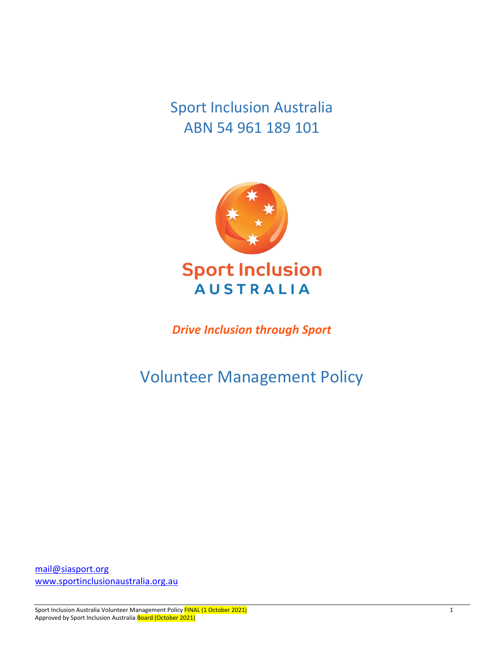Sport Inclusion Australia ABN 54 961 189 101



*Drive Inclusion through Sport*

Volunteer Management Policy

[mail@siasport.org](mailto:mail@siasport.org) [www.sportinclusionaustralia.org.au](http://www.sportinclusionaustralia.org.au/) 

Sport Inclusion Australia Volunteer Management Policy FINAL (1 October 2021) 1998 Approved by Sport Inclusion Australia Board (October 2021)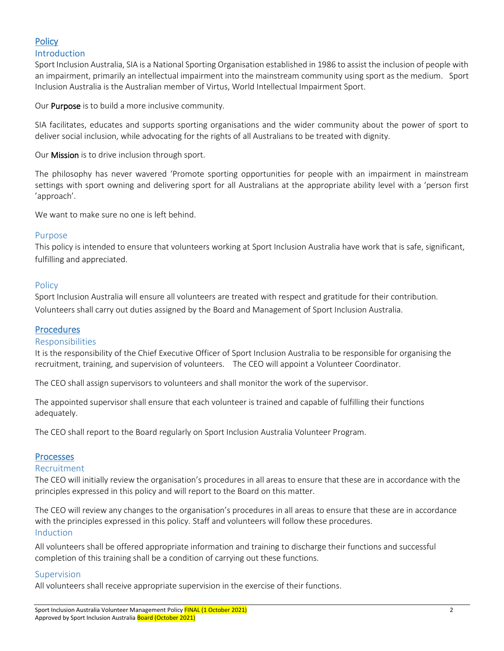## **Policy**

#### Introduction

Sport Inclusion Australia, SIA is a National Sporting Organisation established in 1986 to assist the inclusion of people with an impairment, primarily an intellectual impairment into the mainstream community using sport as the medium. Sport Inclusion Australia is the Australian member of Virtus, World Intellectual Impairment Sport.

Our **Purpose** is to build a more inclusive community.

SIA facilitates, educates and supports sporting organisations and the wider community about the power of sport to deliver social inclusion, while advocating for the rights of all Australians to be treated with dignity.

Our Mission is to drive inclusion through sport.

The philosophy has never wavered 'Promote sporting opportunities for people with an impairment in mainstream settings with sport owning and delivering sport for all Australians at the appropriate ability level with a 'person first 'approach'.

We want to make sure no one is left behind.

#### Purpose

This policy is intended to ensure that volunteers working at Sport Inclusion Australia have work that is safe, significant, fulfilling and appreciated.

#### Policy

Sport Inclusion Australia will ensure all volunteers are treated with respect and gratitude for their contribution. Volunteers shall carry out duties assigned by the Board and Management of Sport Inclusion Australia.

#### Procedures

#### Responsibilities

It is the responsibility of the Chief Executive Officer of Sport Inclusion Australia to be responsible for organising the recruitment, training, and supervision of volunteers. The CEO will appoint a Volunteer Coordinator.

The CEO shall assign supervisors to volunteers and shall monitor the work of the supervisor.

The appointed supervisor shall ensure that each volunteer is trained and capable of fulfilling their functions adequately.

The CEO shall report to the Board regularly on Sport Inclusion Australia Volunteer Program.

#### **Processes**

#### Recruitment

The CEO will initially review the organisation's procedures in all areas to ensure that these are in accordance with the principles expressed in this policy and will report to the Board on this matter.

The CEO will review any changes to the organisation's procedures in all areas to ensure that these are in accordance with the principles expressed in this policy. Staff and volunteers will follow these procedures. Induction

All volunteers shall be offered appropriate information and training to discharge their functions and successful completion of this training shall be a condition of carrying out these functions.

#### Supervision

All volunteers shall receive appropriate supervision in the exercise of their functions.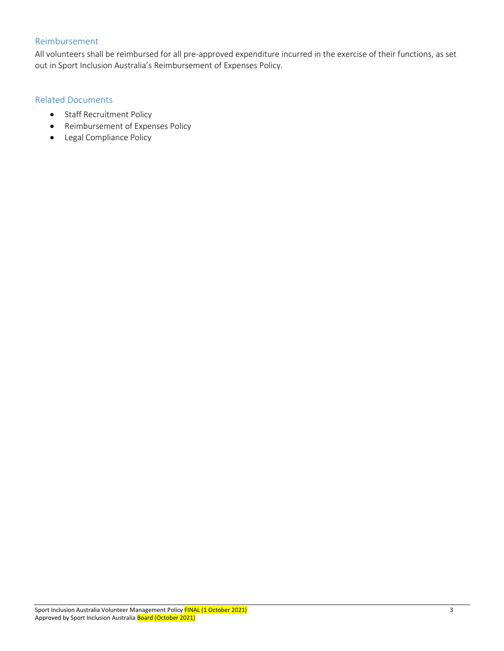### Reimbursement

All volunteers shall be reimbursed for all pre-approved expenditure incurred in the exercise of their functions, as set out in Sport Inclusion Australia's Reimbursement of Expenses Policy.

#### Related Documents

- [Staff Recruitment Policy](http://www.ourcommunity.com.au/files/policybank/StaffRecruitmentPolicy2015.doc)
- [Reimbursement of Expenses Policy](http://www.ourcommunity.com.au/files/policybank/ReimbursementofExpensesPolicy2015.doc)
- Legal Compliance Policy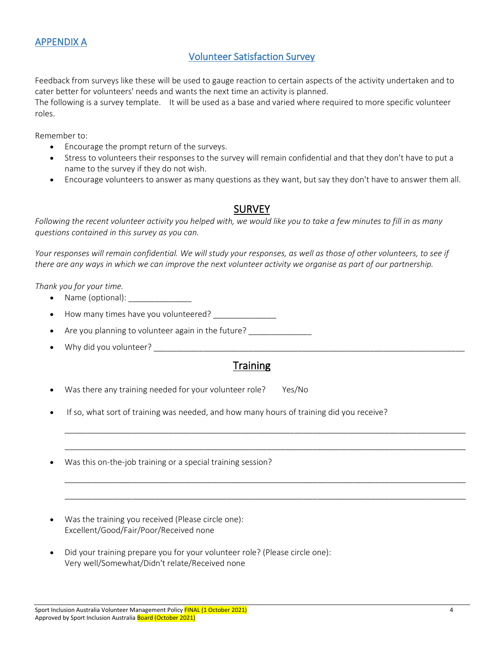### APPENDIX A

### Volunteer Satisfaction Survey

Feedback from surveys like these will be used to gauge reaction to certain aspects of the activity undertaken and to cater better for volunteers' needs and wants the next time an activity is planned.

The following is a survey template. It will be used as a base and varied where required to more specific volunteer roles.

Remember to:

- Encourage the prompt return of the surveys.
- Stress to volunteers their responses to the survey will remain confidential and that they don't have to put a name to the survey if they do not wish.
- Encourage volunteers to answer as many questions as they want, but say they don't have to answer them all.

### SURVEY

*Following the recent volunteer activity you helped with, we would like you to take a few minutes to fill in as many questions contained in this survey as you can.*

*Your responses will remain confidential. We will study your responses, as well as those of other volunteers, to see if there are any ways in which we can improve the next volunteer activity we organise as part of our partnership.*

*Thank you for your time.*

- Name (optional):
- How many times have you volunteered?
- Are you planning to volunteer again in the future? \_\_\_\_\_\_\_\_\_\_\_\_\_\_\_\_\_\_\_\_\_\_\_\_\_\_\_
- Why did you volunteer? \_\_\_\_\_\_\_\_\_\_\_\_\_\_\_\_\_\_\_\_\_\_\_\_\_\_\_\_\_\_\_\_\_\_\_\_\_\_\_\_\_\_\_\_\_\_\_\_\_\_\_\_\_\_\_\_\_\_\_\_\_\_\_\_\_\_\_\_\_

## **Training**

\_\_\_\_\_\_\_\_\_\_\_\_\_\_\_\_\_\_\_\_\_\_\_\_\_\_\_\_\_\_\_\_\_\_\_\_\_\_\_\_\_\_\_\_\_\_\_\_\_\_\_\_\_\_\_\_\_\_\_\_\_\_\_\_\_\_\_\_\_\_\_\_\_\_\_\_\_\_\_\_\_\_\_\_\_\_\_\_\_

\_\_\_\_\_\_\_\_\_\_\_\_\_\_\_\_\_\_\_\_\_\_\_\_\_\_\_\_\_\_\_\_\_\_\_\_\_\_\_\_\_\_\_\_\_\_\_\_\_\_\_\_\_\_\_\_\_\_\_\_\_\_\_\_\_\_\_\_\_\_\_\_\_\_\_\_\_\_\_\_\_\_\_\_\_\_\_\_\_

\_\_\_\_\_\_\_\_\_\_\_\_\_\_\_\_\_\_\_\_\_\_\_\_\_\_\_\_\_\_\_\_\_\_\_\_\_\_\_\_\_\_\_\_\_\_\_\_\_\_\_\_\_\_\_\_\_\_\_\_\_\_\_\_\_\_\_\_\_\_\_\_\_\_\_\_\_\_\_\_\_\_\_\_\_\_\_\_\_

\_\_\_\_\_\_\_\_\_\_\_\_\_\_\_\_\_\_\_\_\_\_\_\_\_\_\_\_\_\_\_\_\_\_\_\_\_\_\_\_\_\_\_\_\_\_\_\_\_\_\_\_\_\_\_\_\_\_\_\_\_\_\_\_\_\_\_\_\_\_\_\_\_\_\_\_\_\_\_\_\_\_\_\_\_\_\_\_\_

Was there any training needed for your volunteer role? Yes/No

- If so, what sort of training was needed, and how many hours of training did you receive?
- Was this on-the-job training or a special training session?
- Was the training you received (Please circle one): Excellent/Good/Fair/Poor/Received none
- Did your training prepare you for your volunteer role? (Please circle one): Very well/Somewhat/Didn't relate/Received none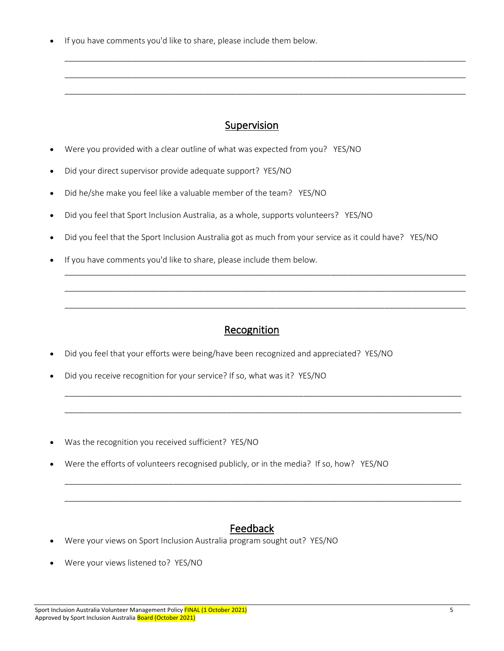If you have comments you'd like to share, please include them below.

## Supervision

\_\_\_\_\_\_\_\_\_\_\_\_\_\_\_\_\_\_\_\_\_\_\_\_\_\_\_\_\_\_\_\_\_\_\_\_\_\_\_\_\_\_\_\_\_\_\_\_\_\_\_\_\_\_\_\_\_\_\_\_\_\_\_\_\_\_\_\_\_\_\_\_\_\_\_\_\_\_\_\_\_\_\_\_\_\_\_\_\_

\_\_\_\_\_\_\_\_\_\_\_\_\_\_\_\_\_\_\_\_\_\_\_\_\_\_\_\_\_\_\_\_\_\_\_\_\_\_\_\_\_\_\_\_\_\_\_\_\_\_\_\_\_\_\_\_\_\_\_\_\_\_\_\_\_\_\_\_\_\_\_\_\_\_\_\_\_\_\_\_\_\_\_\_\_\_\_\_\_

\_\_\_\_\_\_\_\_\_\_\_\_\_\_\_\_\_\_\_\_\_\_\_\_\_\_\_\_\_\_\_\_\_\_\_\_\_\_\_\_\_\_\_\_\_\_\_\_\_\_\_\_\_\_\_\_\_\_\_\_\_\_\_\_\_\_\_\_\_\_\_\_\_\_\_\_\_\_\_\_\_\_\_\_\_\_\_\_\_

- Were you provided with a clear outline of what was expected from you? YES/NO
- Did your direct supervisor provide adequate support? YES/NO
- Did he/she make you feel like a valuable member of the team? YES/NO
- Did you feel that Sport Inclusion Australia, as a whole, supports volunteers? YES/NO
- Did you feel that the Sport Inclusion Australia got as much from your service as it could have? YES/NO
- If you have comments you'd like to share, please include them below.

## Recognition

\_\_\_\_\_\_\_\_\_\_\_\_\_\_\_\_\_\_\_\_\_\_\_\_\_\_\_\_\_\_\_\_\_\_\_\_\_\_\_\_\_\_\_\_\_\_\_\_\_\_\_\_\_\_\_\_\_\_\_\_\_\_\_\_\_\_\_\_\_\_\_\_\_\_\_\_\_\_\_\_\_\_\_\_\_\_\_\_\_

\_\_\_\_\_\_\_\_\_\_\_\_\_\_\_\_\_\_\_\_\_\_\_\_\_\_\_\_\_\_\_\_\_\_\_\_\_\_\_\_\_\_\_\_\_\_\_\_\_\_\_\_\_\_\_\_\_\_\_\_\_\_\_\_\_\_\_\_\_\_\_\_\_\_\_\_\_\_\_\_\_\_\_\_\_\_\_\_\_

\_\_\_\_\_\_\_\_\_\_\_\_\_\_\_\_\_\_\_\_\_\_\_\_\_\_\_\_\_\_\_\_\_\_\_\_\_\_\_\_\_\_\_\_\_\_\_\_\_\_\_\_\_\_\_\_\_\_\_\_\_\_\_\_\_\_\_\_\_\_\_\_\_\_\_\_\_\_\_\_\_\_\_\_\_\_\_\_\_

\_\_\_\_\_\_\_\_\_\_\_\_\_\_\_\_\_\_\_\_\_\_\_\_\_\_\_\_\_\_\_\_\_\_\_\_\_\_\_\_\_\_\_\_\_\_\_\_\_\_\_\_\_\_\_\_\_\_\_\_\_\_\_\_\_\_\_\_\_\_\_\_\_\_\_\_\_\_\_\_\_\_\_\_\_\_\_\_

\_\_\_\_\_\_\_\_\_\_\_\_\_\_\_\_\_\_\_\_\_\_\_\_\_\_\_\_\_\_\_\_\_\_\_\_\_\_\_\_\_\_\_\_\_\_\_\_\_\_\_\_\_\_\_\_\_\_\_\_\_\_\_\_\_\_\_\_\_\_\_\_\_\_\_\_\_\_\_\_\_\_\_\_\_\_\_\_

\_\_\_\_\_\_\_\_\_\_\_\_\_\_\_\_\_\_\_\_\_\_\_\_\_\_\_\_\_\_\_\_\_\_\_\_\_\_\_\_\_\_\_\_\_\_\_\_\_\_\_\_\_\_\_\_\_\_\_\_\_\_\_\_\_\_\_\_\_\_\_\_\_\_\_\_\_\_\_\_\_\_\_\_\_\_\_\_

\_\_\_\_\_\_\_\_\_\_\_\_\_\_\_\_\_\_\_\_\_\_\_\_\_\_\_\_\_\_\_\_\_\_\_\_\_\_\_\_\_\_\_\_\_\_\_\_\_\_\_\_\_\_\_\_\_\_\_\_\_\_\_\_\_\_\_\_\_\_\_\_\_\_\_\_\_\_\_\_\_\_\_\_\_\_\_\_

- Did you feel that your efforts were being/have been recognized and appreciated? YES/NO
- Did you receive recognition for your service? If so, what was it? YES/NO
- Was the recognition you received sufficient? YES/NO
- Were the efforts of volunteers recognised publicly, or in the media? If so, how? YES/NO

## Feedback

- Were your views on Sport Inclusion Australia program sought out? YES/NO
- Were your views listened to? YES/NO